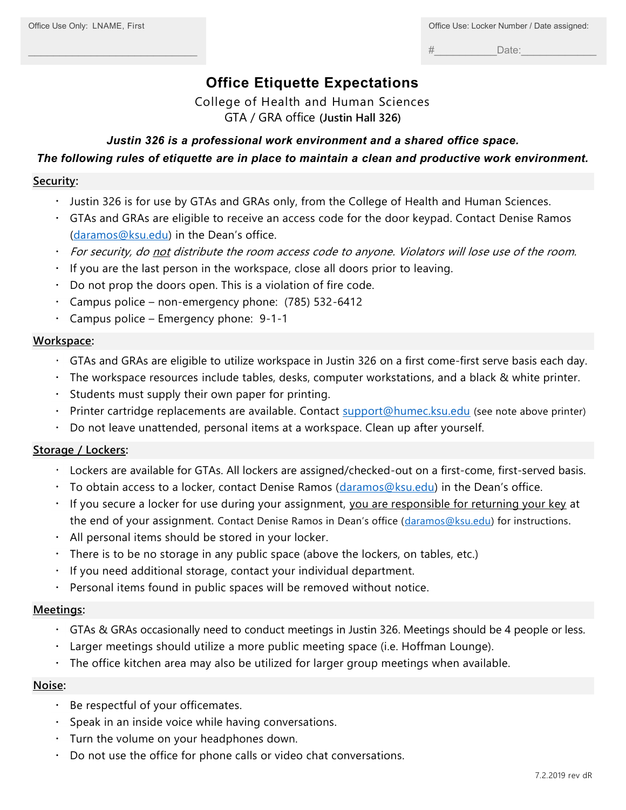\_\_\_\_\_\_\_\_\_\_\_\_\_\_\_\_\_\_\_\_\_\_\_\_\_\_\_

 $\#$  Date:

# **Office Etiquette Expectations**

College of Health and Human Sciences GTA / GRA office **(Justin Hall 326)**

# *Justin 326 is a professional work environment and a shared office space.*

# *The following rules of etiquette are in place to maintain a clean and productive work environment.*

#### **Security:**

- Justin 326 is for use by GTAs and GRAs only, from the College of Health and Human Sciences.
- GTAs and GRAs are eligible to receive an access code for the door keypad. Contact Denise Ramos [\(daramos@ksu.edu\)](mailto:daramos@ksu.edu) in the Dean's office.
- the for security, do not distribute the room access code to anyone. Violators will lose use of the room.
- If you are the last person in the workspace, close all doors prior to leaving.
- Do not prop the doors open. This is a violation of fire code.
- Campus police non-emergency phone: (785) 532-6412
- Campus police Emergency phone: 9-1-1

## **Workspace:**

- GTAs and GRAs are eligible to utilize workspace in Justin 326 on a first come-first serve basis each day.
- The workspace resources include tables, desks, computer workstations, and a black & white printer.
- $\bullet$  . Students must supply their own paper for printing.
- Printer cartridge replacements are available. Contact [support@humec.ksu.edu](mailto:support@humec.ksu.edu) (see note above printer)
- Do not leave unattended, personal items at a workspace. Clean up after yourself.

## **Storage / Lockers:**

- Lockers are available for GTAs. All lockers are assigned/checked-out on a first-come, first-served basis.
- To obtain access to a locker, contact Denise Ramos  $(daramos@ksu.edu)$  $(daramos@ksu.edu)$  in the Dean's office.
- If you secure a locker for use during your assignment, you are responsible for returning your key at the end of your assignment. Contact Denise Ramos in Dean's office ([daramos@ksu.edu\)](mailto:daramos@ksu.edu) for instructions.
- All personal items should be stored in your locker.
- $\cdot$  There is to be no storage in any public space (above the lockers, on tables, etc.)
- $\cdot$  If you need additional storage, contact your individual department.
- Personal items found in public spaces will be removed without notice.

## **Meetings:**

- GTAs & GRAs occasionally need to conduct meetings in Justin 326. Meetings should be 4 people or less.
- Larger meetings should utilize a more public meeting space (i.e. Hoffman Lounge).
- The office kitchen area may also be utilized for larger group meetings when available.

#### **Noise:**

- Be respectful of your officemates.
- Speak in an inside voice while having conversations.
- Turn the volume on your headphones down.
- Do not use the office for phone calls or video chat conversations.